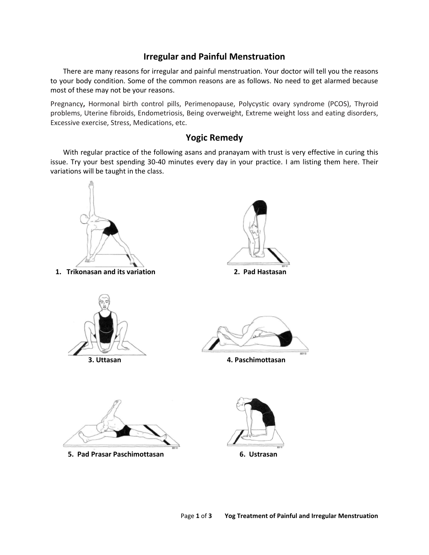## **Irregular and Painful Menstruation**

There are many reasons for irregular and painful menstruation. Your doctor will tell you the reasons to your body condition. Some of the common reasons are as follows. No need to get alarmed because most of these may not be your reasons.

Pregnancy**,** Hormonal birth control pills, Perimenopause, Polycystic ovary syndrome (PCOS), Thyroid problems, Uterine fibroids, Endometriosis, Being overweight, Extreme weight loss and eating disorders, Excessive exercise, Stress, Medications, etc.

## **Yogic Remedy**

With regular practice of the following asans and pranayam with trust is very effective in curing this issue. Try your best spending 30-40 minutes every day in your practice. I am listing them here. Their variations will be taught in the class.

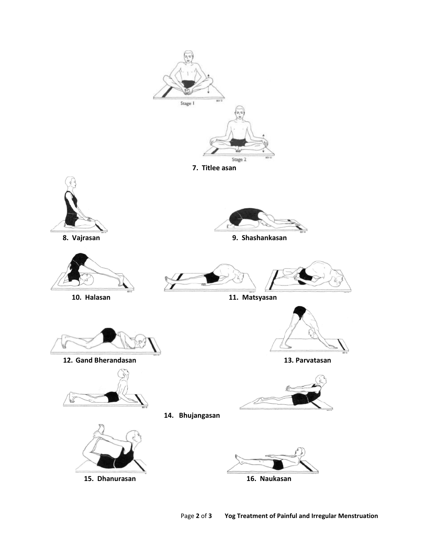